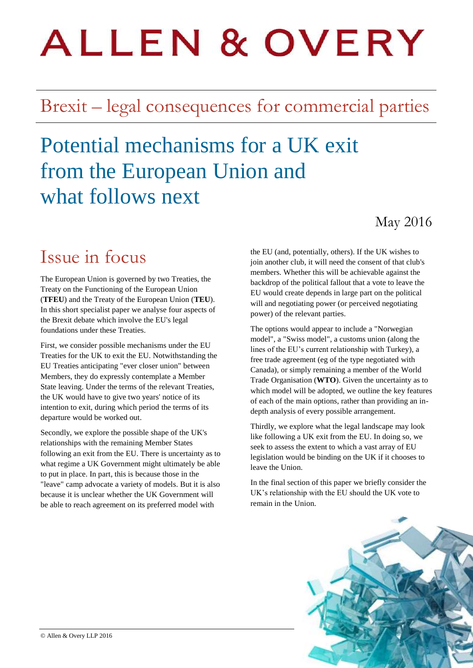# **ALLEN & OVERY**

# Brexit – legal consequences for commercial parties

# Potential mechanisms for a UK exit from the European Union and what follows next

### May 2016

### Issue in focus

The European Union is governed by two Treaties, the Treaty on the Functioning of the European Union (**TFEU**) and the Treaty of the European Union (**TEU**). In this short specialist paper we analyse four aspects of the Brexit debate which involve the EU's legal foundations under these Treaties.

First, we consider possible mechanisms under the EU Treaties for the UK to exit the EU. Notwithstanding the EU Treaties anticipating "ever closer union" between Members, they do expressly contemplate a Member State leaving. Under the terms of the relevant Treaties, the UK would have to give two years' notice of its intention to exit, during which period the terms of its departure would be worked out.

Secondly, we explore the possible shape of the UK's relationships with the remaining Member States following an exit from the EU. There is uncertainty as to what regime a UK Government might ultimately be able to put in place. In part, this is because those in the "leave" camp advocate a variety of models. But it is also because it is unclear whether the UK Government will be able to reach agreement on its preferred model with

the EU (and, potentially, others). If the UK wishes to join another club, it will need the consent of that club's members. Whether this will be achievable against the backdrop of the political fallout that a vote to leave the EU would create depends in large part on the political will and negotiating power (or perceived negotiating power) of the relevant parties.

The options would appear to include a "Norwegian model", a "Swiss model", a customs union (along the lines of the EU's current relationship with Turkey), a free trade agreement (eg of the type negotiated with Canada), or simply remaining a member of the World Trade Organisation (**WTO**). Given the uncertainty as to which model will be adopted, we outline the key features of each of the main options, rather than providing an indepth analysis of every possible arrangement.

Thirdly, we explore what the legal landscape may look like following a UK exit from the EU. In doing so, we seek to assess the extent to which a vast array of EU legislation would be binding on the UK if it chooses to leave the Union.

In the final section of this paper we briefly consider the UK's relationship with the EU should the UK vote to remain in the Union.

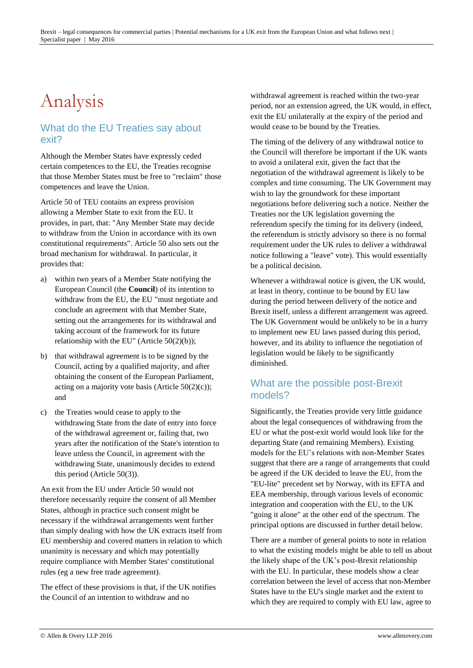# Analysis

#### What do the EU Treaties say about exit?

Although the Member States have expressly ceded certain competences to the EU, the Treaties recognise that those Member States must be free to "reclaim" those competences and leave the Union.

Article 50 of TEU contains an express provision allowing a Member State to exit from the EU. It provides, in part, that: "Any Member State may decide to withdraw from the Union in accordance with its own constitutional requirements". Article 50 also sets out the broad mechanism for withdrawal. In particular, it provides that:

- a) within two years of a Member State notifying the European Council (the **Council**) of its intention to withdraw from the EU, the EU "must negotiate and conclude an agreement with that Member State, setting out the arrangements for its withdrawal and taking account of the framework for its future relationship with the EU" (Article 50(2)(b));
- b) that withdrawal agreement is to be signed by the Council, acting by a qualified majority, and after obtaining the consent of the European Parliament, acting on a majority vote basis (Article  $50(2)(c)$ ); and
- c) the Treaties would cease to apply to the withdrawing State from the date of entry into force of the withdrawal agreement or, failing that, two years after the notification of the State's intention to leave unless the Council, in agreement with the withdrawing State, unanimously decides to extend this period (Article 50(3)).

An exit from the EU under Article 50 would not therefore necessarily require the consent of all Member States, although in practice such consent might be necessary if the withdrawal arrangements went further than simply dealing with how the UK extracts itself from EU membership and covered matters in relation to which unanimity is necessary and which may potentially require compliance with Member States' constitutional rules (eg a new free trade agreement).

The effect of these provisions is that, if the UK notifies the Council of an intention to withdraw and no

withdrawal agreement is reached within the two-year period, nor an extension agreed, the UK would, in effect, exit the EU unilaterally at the expiry of the period and would cease to be bound by the Treaties.

The timing of the delivery of any withdrawal notice to the Council will therefore be important if the UK wants to avoid a unilateral exit, given the fact that the negotiation of the withdrawal agreement is likely to be complex and time consuming. The UK Government may wish to lay the groundwork for these important negotiations before delivering such a notice. Neither the Treaties nor the UK legislation governing the referendum specify the timing for its delivery (indeed, the referendum is strictly advisory so there is no formal requirement under the UK rules to deliver a withdrawal notice following a "leave" vote). This would essentially be a political decision.

Whenever a withdrawal notice is given, the UK would, at least in theory, continue to be bound by EU law during the period between delivery of the notice and Brexit itself, unless a different arrangement was agreed. The UK Government would be unlikely to be in a hurry to implement new EU laws passed during this period, however, and its ability to influence the negotiation of legislation would be likely to be significantly diminished.

#### What are the possible post-Brexit models?

Significantly, the Treaties provide very little guidance about the legal consequences of withdrawing from the EU or what the post-exit world would look like for the departing State (and remaining Members). Existing models for the EU's relations with non-Member States suggest that there are a range of arrangements that could be agreed if the UK decided to leave the EU, from the "EU-lite" precedent set by Norway, with its EFTA and EEA membership, through various levels of economic integration and cooperation with the EU, to the UK "going it alone" at the other end of the spectrum. The principal options are discussed in further detail below.

There are a number of general points to note in relation to what the existing models might be able to tell us about the likely shape of the UK's post-Brexit relationship with the EU. In particular, these models show a clear correlation between the level of access that non-Member States have to the EU's single market and the extent to which they are required to comply with EU law, agree to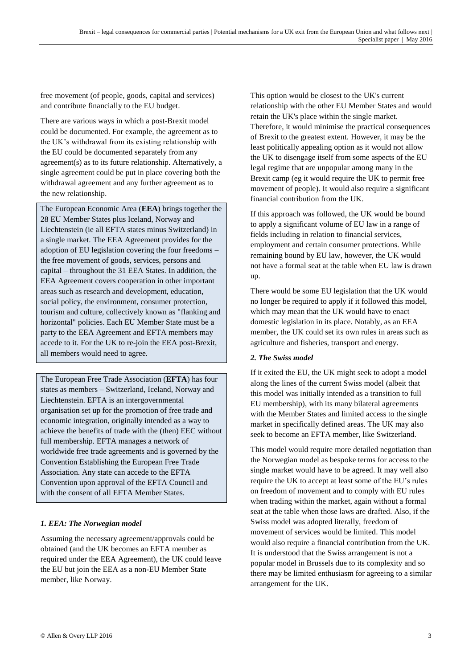free movement (of people, goods, capital and services) and contribute financially to the EU budget.

There are various ways in which a post-Brexit model could be documented. For example, the agreement as to the UK's withdrawal from its existing relationship with the EU could be documented separately from any agreement(s) as to its future relationship. Alternatively, a single agreement could be put in place covering both the withdrawal agreement and any further agreement as to the new relationship.

The European Economic Area (**EEA**) brings together the 28 EU Member States plus Iceland, Norway and Liechtenstein (ie all EFTA states minus Switzerland) in a single market. The EEA Agreement provides for the adoption of EU legislation covering the four freedoms – the free movement of goods, services, persons and capital – throughout the 31 EEA States. In addition, the EEA Agreement covers cooperation in other important areas such as research and development, education, social policy, the environment, consumer protection, tourism and culture, collectively known as "flanking and horizontal" policies. Each EU Member State must be a party to the EEA Agreement and EFTA members may accede to it. For the UK to re-join the EEA post-Brexit, all members would need to agree.

The European Free Trade Association (**EFTA**) has four states as members – Switzerland, Iceland, Norway and Liechtenstein. EFTA is an intergovernmental organisation set up for the promotion of free trade and economic integration, originally intended as a way to achieve the benefits of trade with the (then) EEC without full membership. EFTA manages a network of worldwide free trade agreements and is governed by the Convention Establishing the European Free Trade Association. Any state can accede to the EFTA Convention upon approval of the EFTA Council and with the consent of all EFTA Member States.

#### *1. EEA: The Norwegian model*

Assuming the necessary agreement/approvals could be obtained (and the UK becomes an EFTA member as required under the EEA Agreement), the UK could leave the EU but join the EEA as a non-EU Member State member, like Norway.

This option would be closest to the UK's current relationship with the other EU Member States and would retain the UK's place within the single market. Therefore, it would minimise the practical consequences of Brexit to the greatest extent. However, it may be the least politically appealing option as it would not allow the UK to disengage itself from some aspects of the EU legal regime that are unpopular among many in the Brexit camp (eg it would require the UK to permit free movement of people). It would also require a significant financial contribution from the UK.

If this approach was followed, the UK would be bound to apply a significant volume of EU law in a range of fields including in relation to financial services, employment and certain consumer protections. While remaining bound by EU law, however, the UK would not have a formal seat at the table when EU law is drawn  $\overline{\mathbf{u}}$ 

There would be some EU legislation that the UK would no longer be required to apply if it followed this model, which may mean that the UK would have to enact domestic legislation in its place. Notably, as an EEA member, the UK could set its own rules in areas such as agriculture and fisheries, transport and energy.

#### *2. The Swiss model*

If it exited the EU, the UK might seek to adopt a model along the lines of the current Swiss model (albeit that this model was initially intended as a transition to full EU membership), with its many bilateral agreements with the Member States and limited access to the single market in specifically defined areas. The UK may also seek to become an EFTA member, like Switzerland.

This model would require more detailed negotiation than the Norwegian model as bespoke terms for access to the single market would have to be agreed. It may well also require the UK to accept at least some of the EU's rules on freedom of movement and to comply with EU rules when trading within the market, again without a formal seat at the table when those laws are drafted. Also, if the Swiss model was adopted literally, freedom of movement of services would be limited. This model would also require a financial contribution from the UK. It is understood that the Swiss arrangement is not a popular model in Brussels due to its complexity and so there may be limited enthusiasm for agreeing to a similar arrangement for the UK.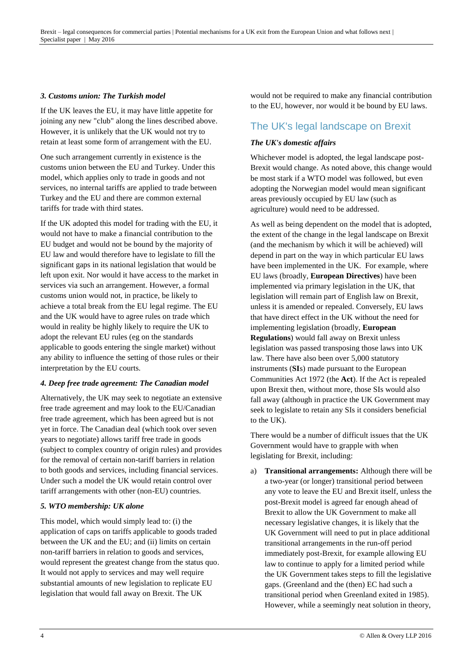#### *3. Customs union: The Turkish model*

If the UK leaves the EU, it may have little appetite for joining any new "club" along the lines described above. However, it is unlikely that the UK would not try to retain at least some form of arrangement with the EU.

One such arrangement currently in existence is the customs union between the EU and Turkey. Under this model, which applies only to trade in goods and not services, no internal tariffs are applied to trade between Turkey and the EU and there are common external tariffs for trade with third states.

If the UK adopted this model for trading with the EU, it would not have to make a financial contribution to the EU budget and would not be bound by the majority of EU law and would therefore have to legislate to fill the significant gaps in its national legislation that would be left upon exit. Nor would it have access to the market in services via such an arrangement. However, a formal customs union would not, in practice, be likely to achieve a total break from the EU legal regime. The EU and the UK would have to agree rules on trade which would in reality be highly likely to require the UK to adopt the relevant EU rules (eg on the standards applicable to goods entering the single market) without any ability to influence the setting of those rules or their interpretation by the EU courts.

#### *4. Deep free trade agreement: The Canadian model*

Alternatively, the UK may seek to negotiate an extensive free trade agreement and may look to the EU/Canadian free trade agreement, which has been agreed but is not yet in force. The Canadian deal (which took over seven years to negotiate) allows tariff free trade in goods (subject to complex country of origin rules) and provides for the removal of certain non-tariff barriers in relation to both goods and services, including financial services. Under such a model the UK would retain control over tariff arrangements with other (non-EU) countries.

#### *5. WTO membership: UK alone*

This model, which would simply lead to: (i) the application of caps on tariffs applicable to goods traded between the UK and the EU; and (ii) limits on certain non-tariff barriers in relation to goods and services, would represent the greatest change from the status quo. It would not apply to services and may well require substantial amounts of new legislation to replicate EU legislation that would fall away on Brexit. The UK

would not be required to make any financial contribution to the EU, however, nor would it be bound by EU laws.

#### The UK's legal landscape on Brexit

#### *The UK's domestic affairs*

Whichever model is adopted, the legal landscape post-Brexit would change. As noted above, this change would be most stark if a WTO model was followed, but even adopting the Norwegian model would mean significant areas previously occupied by EU law (such as agriculture) would need to be addressed.

As well as being dependent on the model that is adopted, the extent of the change in the legal landscape on Brexit (and the mechanism by which it will be achieved) will depend in part on the way in which particular EU laws have been implemented in the UK. For example, where EU laws (broadly, **European Directives**) have been implemented via primary legislation in the UK, that legislation will remain part of English law on Brexit, unless it is amended or repealed. Conversely, EU laws that have direct effect in the UK without the need for implementing legislation (broadly, **European Regulations**) would fall away on Brexit unless legislation was passed transposing those laws into UK law. There have also been over 5,000 statutory instruments (**SI**s) made pursuant to the European Communities Act 1972 (the **Act**). If the Act is repealed upon Brexit then, without more, those SIs would also fall away (although in practice the UK Government may seek to legislate to retain any SIs it considers beneficial to the UK).

There would be a number of difficult issues that the UK Government would have to grapple with when legislating for Brexit, including:

a) **Transitional arrangements:** Although there will be a two-year (or longer) transitional period between any vote to leave the EU and Brexit itself, unless the post-Brexit model is agreed far enough ahead of Brexit to allow the UK Government to make all necessary legislative changes, it is likely that the UK Government will need to put in place additional transitional arrangements in the run-off period immediately post-Brexit, for example allowing EU law to continue to apply for a limited period while the UK Government takes steps to fill the legislative gaps. (Greenland and the (then) EC had such a transitional period when Greenland exited in 1985). However, while a seemingly neat solution in theory,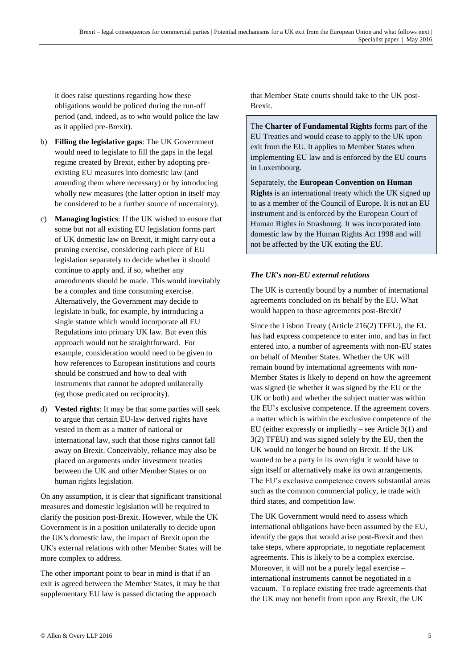it does raise questions regarding how these obligations would be policed during the run-off period (and, indeed, as to who would police the law as it applied pre-Brexit).

- b) **Filling the legislative gaps**: The UK Government would need to legislate to fill the gaps in the legal regime created by Brexit, either by adopting preexisting EU measures into domestic law (and amending them where necessary) or by introducing wholly new measures (the latter option in itself may be considered to be a further source of uncertainty).
- c) **Managing logistics**: If the UK wished to ensure that some but not all existing EU legislation forms part of UK domestic law on Brexit, it might carry out a pruning exercise, considering each piece of EU legislation separately to decide whether it should continue to apply and, if so, whether any amendments should be made. This would inevitably be a complex and time consuming exercise. Alternatively, the Government may decide to legislate in bulk, for example, by introducing a single statute which would incorporate all EU Regulations into primary UK law. But even this approach would not be straightforward. For example, consideration would need to be given to how references to European institutions and courts should be construed and how to deal with instruments that cannot be adopted unilaterally (eg those predicated on reciprocity).
- d) **Vested rights**: It may be that some parties will seek to argue that certain EU-law derived rights have vested in them as a matter of national or international law, such that those rights cannot fall away on Brexit. Conceivably, reliance may also be placed on arguments under investment treaties between the UK and other Member States or on human rights legislation.

On any assumption, it is clear that significant transitional measures and domestic legislation will be required to clarify the position post-Brexit. However, while the UK Government is in a position unilaterally to decide upon the UK's domestic law, the impact of Brexit upon the UK's external relations with other Member States will be more complex to address.

The other important point to bear in mind is that if an exit is agreed between the Member States, it may be that supplementary EU law is passed dictating the approach

that Member State courts should take to the UK post-Brexit.

The **Charter of Fundamental Rights** forms part of the EU Treaties and would cease to apply to the UK upon exit from the EU. It applies to Member States when implementing EU law and is enforced by the EU courts in Luxembourg.

Separately, the **European Convention on Human Rights** is an international treaty which the UK signed up to as a member of the Council of Europe. It is not an EU instrument and is enforced by the European Court of Human Rights in Strasbourg. It was incorporated into domestic law by the Human Rights Act 1998 and will not be affected by the UK exiting the EU.

#### *The UK's non-EU external relations*

The UK is currently bound by a number of international agreements concluded on its behalf by the EU. What would happen to those agreements post-Brexit?

Since the Lisbon Treaty (Article 216(2) TFEU), the EU has had express competence to enter into, and has in fact entered into, a number of agreements with non-EU states on behalf of Member States. Whether the UK will remain bound by international agreements with non-Member States is likely to depend on how the agreement was signed (ie whether it was signed by the EU or the UK or both) and whether the subject matter was within the EU's exclusive competence. If the agreement covers a matter which is within the exclusive competence of the EU (either expressly or impliedly – see Article 3(1) and 3(2) TFEU) and was signed solely by the EU, then the UK would no longer be bound on Brexit. If the UK wanted to be a party in its own right it would have to sign itself or alternatively make its own arrangements. The EU's exclusive competence covers substantial areas such as the common commercial policy, ie trade with third states, and competition law.

The UK Government would need to assess which international obligations have been assumed by the EU, identify the gaps that would arise post-Brexit and then take steps, where appropriate, to negotiate replacement agreements. This is likely to be a complex exercise. Moreover, it will not be a purely legal exercise – international instruments cannot be negotiated in a vacuum. To replace existing free trade agreements that the UK may not benefit from upon any Brexit, the UK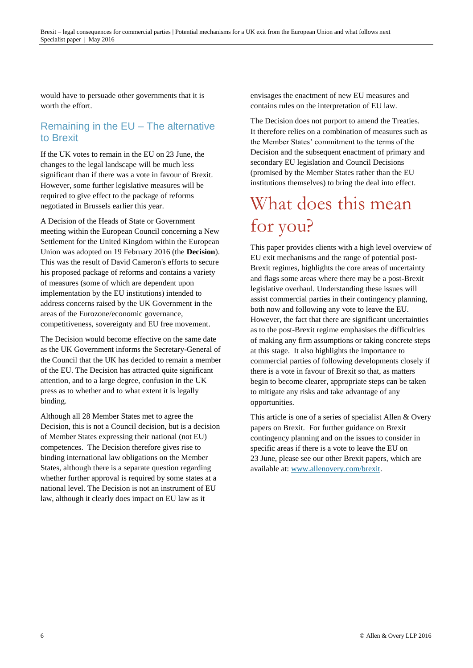would have to persuade other governments that it is worth the effort.

#### Remaining in the EU – The alternative to Brexit

If the UK votes to remain in the EU on 23 June, the changes to the legal landscape will be much less significant than if there was a vote in favour of Brexit. However, some further legislative measures will be required to give effect to the package of reforms negotiated in Brussels earlier this year.

A Decision of the Heads of State or Government meeting within the European Council concerning a New Settlement for the United Kingdom within the European Union was adopted on 19 February 2016 (the **Decision**). This was the result of David Cameron's efforts to secure his proposed package of reforms and contains a variety of measures (some of which are dependent upon implementation by the EU institutions) intended to address concerns raised by the UK Government in the areas of the Eurozone/economic governance, competitiveness, sovereignty and EU free movement.

The Decision would become effective on the same date as the UK Government informs the Secretary-General of the Council that the UK has decided to remain a member of the EU. The Decision has attracted quite significant attention, and to a large degree, confusion in the UK press as to whether and to what extent it is legally binding.

Although all 28 Member States met to agree the Decision, this is not a Council decision, but is a decision of Member States expressing their national (not EU) competences. The Decision therefore gives rise to binding international law obligations on the Member States, although there is a separate question regarding whether further approval is required by some states at a national level. The Decision is not an instrument of EU law, although it clearly does impact on EU law as it

envisages the enactment of new EU measures and contains rules on the interpretation of EU law.

The Decision does not purport to amend the Treaties. It therefore relies on a combination of measures such as the Member States' commitment to the terms of the Decision and the subsequent enactment of primary and secondary EU legislation and Council Decisions (promised by the Member States rather than the EU institutions themselves) to bring the deal into effect.

## What does this mean for you?

This paper provides clients with a high level overview of EU exit mechanisms and the range of potential post-Brexit regimes, highlights the core areas of uncertainty and flags some areas where there may be a post-Brexit legislative overhaul. Understanding these issues will assist commercial parties in their contingency planning, both now and following any vote to leave the EU. However, the fact that there are significant uncertainties as to the post-Brexit regime emphasises the difficulties of making any firm assumptions or taking concrete steps at this stage. It also highlights the importance to commercial parties of following developments closely if there is a vote in favour of Brexit so that, as matters begin to become clearer, appropriate steps can be taken to mitigate any risks and take advantage of any opportunities.

This article is one of a series of specialist Allen & Overy papers on Brexit. For further guidance on Brexit contingency planning and on the issues to consider in specific areas if there is a vote to leave the EU on 23 June, please see our other Brexit papers, which are available at: [www.allenovery.com/brexit.](http://www.allenovery.com/brexit)